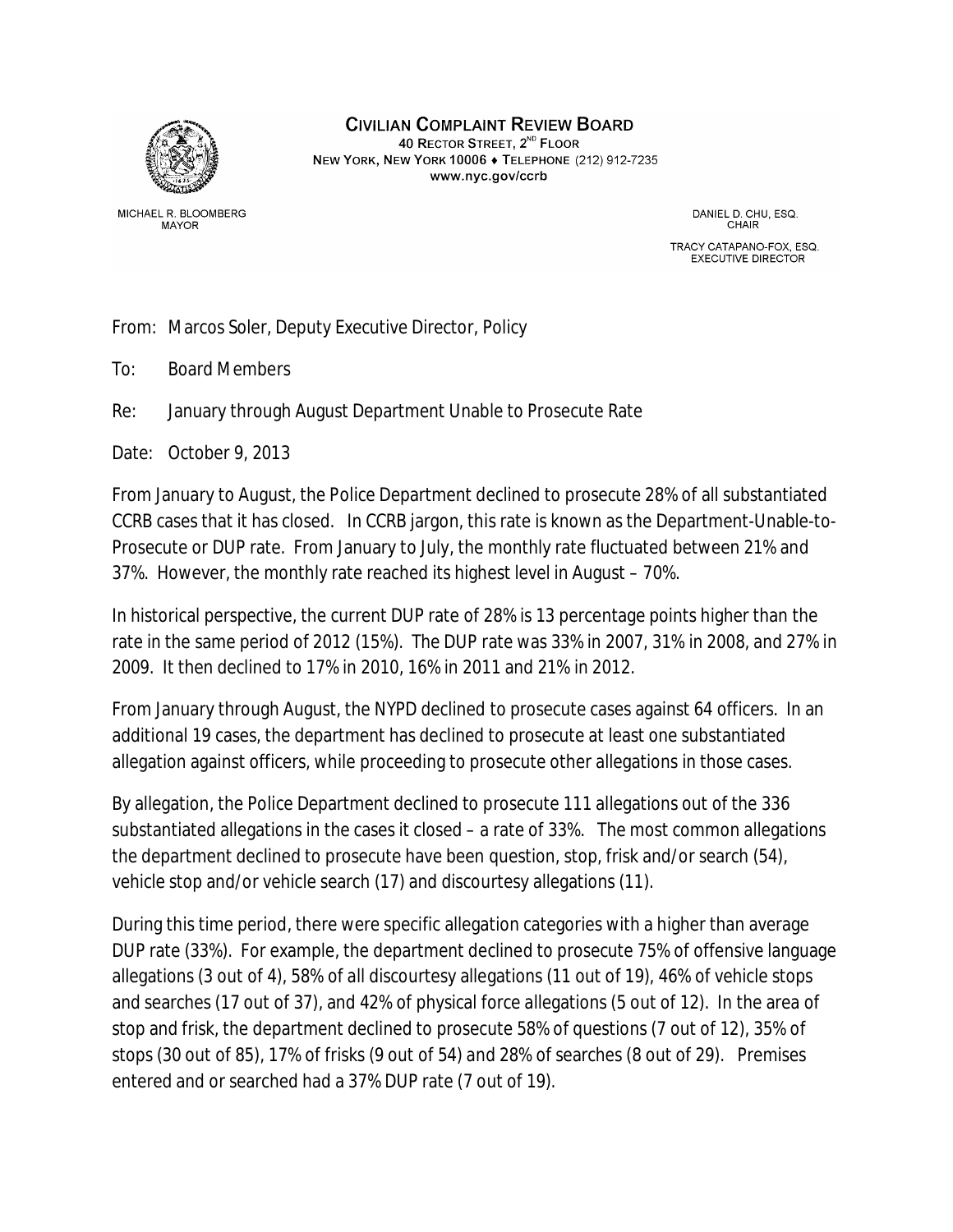

**CIVILIAN COMPLAINT REVIEW BOARD** 40 RECTOR STREET, 2<sup>ND</sup> FLOOR

NEW YORK, NEW YORK 10006 + TELEPHONE (212) 912-7235 www.nyc.gov/ccrb

MICHAEL R. BLOOMBERG **MAYOR** 

DANIEL D. CHU, ESQ. **CHAIR** 

TRACY CATAPANO-FOX, ESQ. **EXECUTIVE DIRECTOR** 

From: Marcos Soler, Deputy Executive Director, Policy

To: Board Members

Re: January through August Department Unable to Prosecute Rate

Date: October 9, 2013

From January to August, the Police Department declined to prosecute 28% of all substantiated CCRB cases that it has closed. In CCRB jargon, this rate is known as the Department-Unable-to-Prosecute or DUP rate. From January to July, the monthly rate fluctuated between 21% and 37%. However, the monthly rate reached its highest level in August – 70%.

In historical perspective, the current DUP rate of 28% is 13 percentage points higher than the rate in the same period of 2012 (15%). The DUP rate was 33% in 2007, 31% in 2008, and 27% in 2009. It then declined to 17% in 2010, 16% in 2011 and 21% in 2012.

From January through August, the NYPD declined to prosecute cases against 64 officers. In an additional 19 cases, the department has declined to prosecute at least one substantiated allegation against officers, while proceeding to prosecute other allegations in those cases.

By allegation, the Police Department declined to prosecute 111 allegations out of the 336 substantiated allegations in the cases it closed – a rate of 33%. The most common allegations the department declined to prosecute have been question, stop, frisk and/or search (54), vehicle stop and/or vehicle search (17) and discourtesy allegations (11).

During this time period, there were specific allegation categories with a higher than average DUP rate (33%). For example, the department declined to prosecute 75% of offensive language allegations (3 out of 4), 58% of all discourtesy allegations (11 out of 19), 46% of vehicle stops and searches (17 out of 37), and 42% of physical force allegations (5 out of 12). In the area of stop and frisk, the department declined to prosecute 58% of questions (7 out of 12), 35% of stops (30 out of 85), 17% of frisks (9 out of 54) and 28% of searches (8 out of 29). Premises entered and or searched had a 37% DUP rate (7 out of 19).